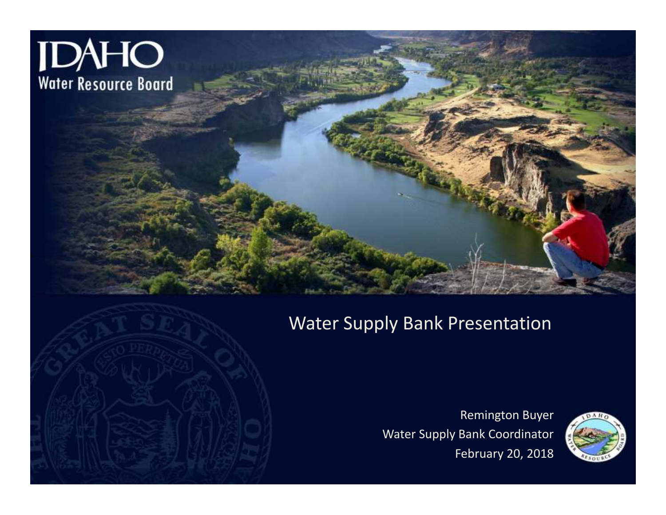

### Water Supply Bank Presentation

Remington Buyer Water Supply Bank Coordinator February 20, 2018



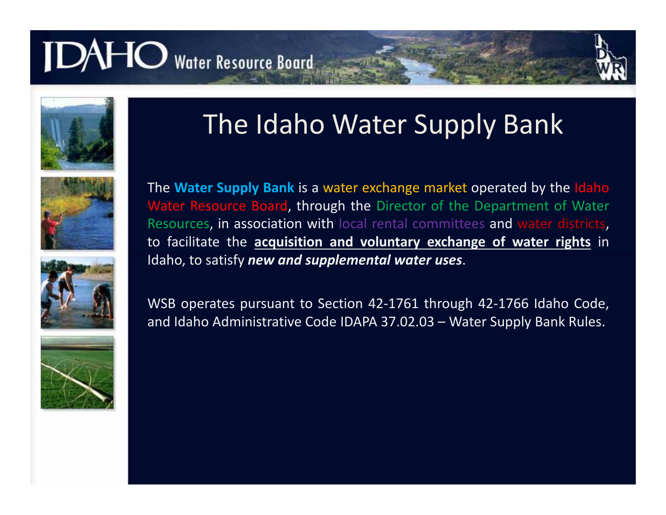









### The Idaho Water Supply Bank

The **Water Supply Bank** is a water exchange market operated by the Idaho Water Resource Board, through the Director of the Department of Water Resources, in association with local rental committees and water districts, to facilitate the **acquisition and voluntary exchange of water rights** in Idaho, to satisfy *new and supplemental water uses*.

WSB operates pursuant to Section 42-1761 through 42-1766 Idaho Code, and Idaho Administrative Code IDAPA 37.02.03 – Water Supply Bank Rules.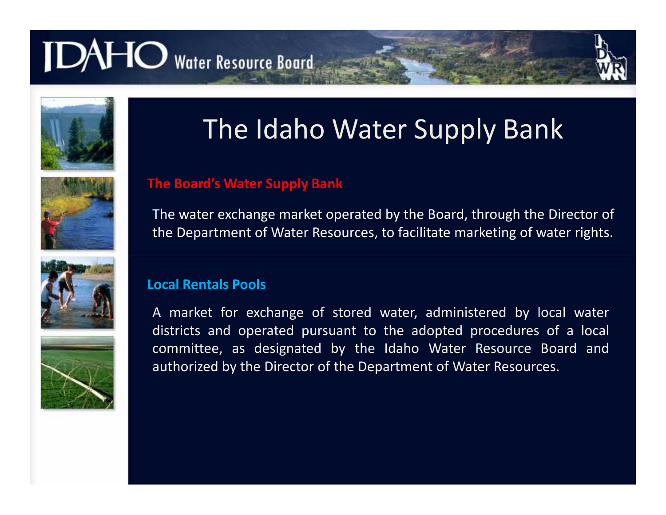







### The Idaho Water Supply Bank

#### **The Board's Water Supply Bank**

The water exchange market operated by the Board, through the Director of the Department of Water Resources, to facilitate marketing of water rights.

#### **Local Rentals Pools**

A market for exchange of stored water, administered by local water districts and operated pursuant to the adopted procedures of a local committee, as designated by the Idaho Water Resource Board and authorized by the Director of the Department of Water Resources.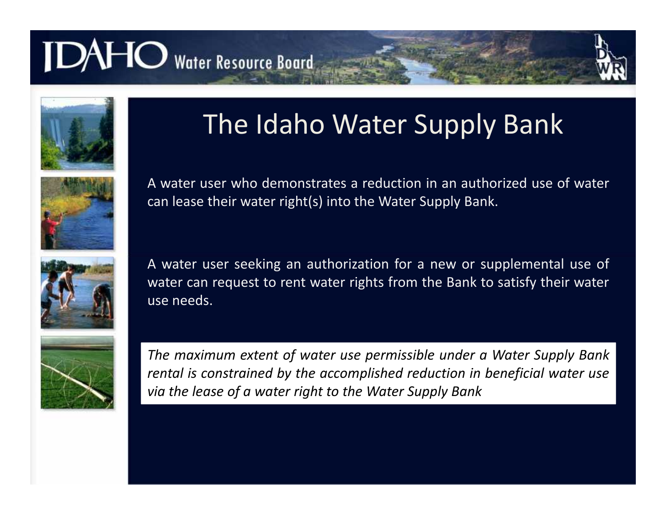









### The Idaho Water Supply Bank

A water user who demonstrates a reduction in an authorized use of water can lease their water right(s) into the Water Supply Bank.

A water user seeking an authorization for a new or supplemental use of water can request to rent water rights from the Bank to satisfy their water use needs.

*The maximum extent of water use permissible under a Water Supply Bank rental is constrained by the accomplished reduction in beneficial water use via the lease of a water right to the Water Supply Bank*